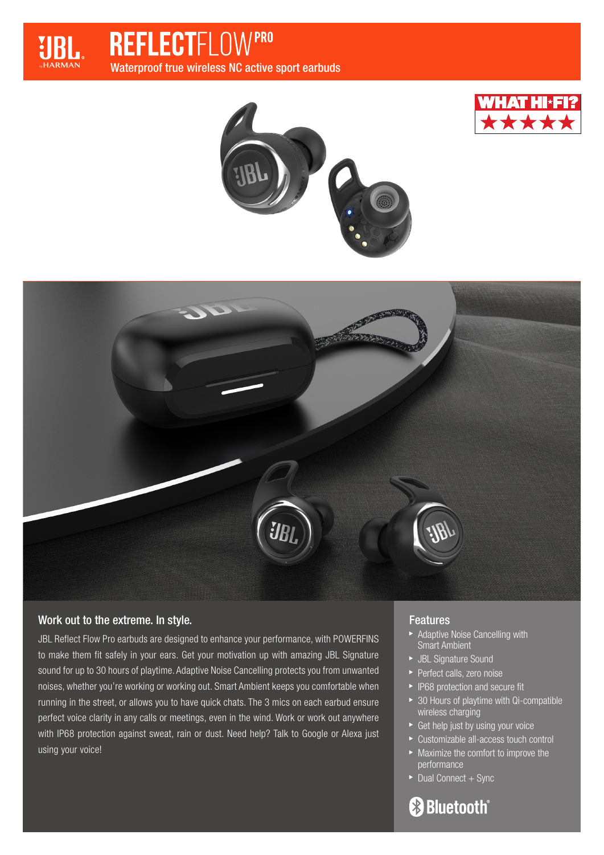

**REFLECTFLOW PRO** Waterproof true wireless NC active sport earbuds







# Work out to the extreme. In style.

JBL Reflect Flow Pro earbuds are designed to enhance your performance, with POWERFINS to make them fit safely in your ears. Get your motivation up with amazing JBL Signature sound for up to 30 hours of playtime. Adaptive Noise Cancelling protects you from unwanted noises, whether you're working or working out. Smart Ambient keeps you comfortable when running in the street, or allows you to have quick chats. The 3 mics on each earbud ensure perfect voice clarity in any calls or meetings, even in the wind. Work or work out anywhere with IP68 protection against sweat, rain or dust. Need help? Talk to Google or Alexa just using your voice!

# Features

- **Adaptive Noise Cancelling with** Smart Ambient
- JBL Signature Sound
- **Perfect calls, zero noise**
- **F** IP68 protection and secure fit
- ▶ 30 Hours of playtime with Qi-compatible wireless charging
- ▶ Get help just by using your voice
- Customizable all-access touch control
- **Maximize the comfort to improve the** performance
- $\blacktriangleright$  Dual Connect + Sync